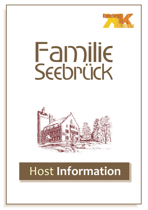

# Familie Seebrück



# Host **Information**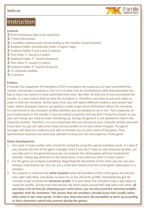

## Instruction

#### Content:

- Ü Print Instruction (*Has to be read first*)
- $\supset$  1 Host Information
- Ü 1 Invitation (*please print out according to the number of participants*)
- Ü Evidence folder (*Introduction letter, 4 signet rings*)
- Ü Evidence folder Crime scene (*5 pieces*)
- $\bigcirc$  Text notes 1<sup>st</sup> round (11 notes)
- **◯** Evidence folder 2<sup>nd</sup> round (10 pieces)
- $\bigcirc$  Text notes 3<sup>rd</sup> round (11 notes)
- Evidence folder 4<sup>th</sup> round (10 pieces)
- $\supset$  11 character profiles
- $\supset$  1 solution

#### **Preface:**

A murder has happened. All members of the crime game are suspicious to have committed the murder. Everybody is suspicious, has no or at least only an unsatisfactory alibi and everybody has had at least one motive to have committed the crime. But after all only one of you committed the murder. It is your task to find out who the murderer is. Therefore, you have to ask each other in order to find the murderer. At the same time, you will obtain different evidence and several text notes, which all players have to use wisely in order to get more information about the murderer. It is mentioned in the character profiles whether you are allowed to lie or not. This is depends on your involvement in the murder. If you are asked a question and you don't know the answer or you also can't know, you have to make something up. During the game it is not allowed to read in the character profiles. Therefore, it is very important that you memorize your character profile very well. If you want to, you can take some notes of your profile on an extra sheet of paper. The game manager will hand out evidence that will incriminate you at some point of the game. Thus, spontaneous reactions are necessary and will increase the fun and suspense of the game.

#### **Game Development:**

- 1. You need 11 team-mates, who should be invited by using the special invitation cards. It is best if you assume the role of the game manager. Even if you don't have an own character profile, can you take part in the game because you can prepare the whole game without knowing the solution. Please pay attention to the extra notes, if you have less than 11 team-mates.
- 2. For the game you prepare everything. Regarding the decoration of the room you can use your fantasy. A decoration tip: You can use a small beer barrel since the crime game takes place in a brewery.
- 3. You present or read out the **initial situation** when all members of the crime game are present (see right side).Now, everybody receives his or her character profile. Everybody has got 30 minutes to get to know the **character profile**. It is best when the members have a quit place to study the profile. During that time period, the team-mates should NOT talk with each other. *(If you have a lot of time for planning your crime event, you can also send the character profiles together with the invitation. This means that the members already know their profile when they come to the crime game. In that case, they also have the possibility to dress up according to their characters which they present during the game).*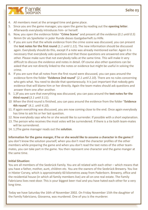4. All members meet at the arranged time and game place.

Familie Seebrück

- 5. Since you are the game manager, you open the game by reading out the **opening letter**. Afterwards everybody introduces him- or herself.
- 6. Now, you open the evidence folder "**Crime Scene**" and present all the evidence (*0.1 until 0.5*) Nimm Dir als Spielleiter in jeder Runde dieses Gastgeberheft zu Hilfe.
- 7. If you are sure that the whole evidence from the crime scene was discussed, you can present the **text notes for the first round** (*1.1 until 1.11*). The new information should be discussed again. Everybody should do this, except if a note was already mentioned earlier. Again it is necessary that everybody asks questions and that those questions are answered one after the other. Please make sure that not everybody talks at the same time. This will make it very difficult to discuss the evidence and notes in detail. Of course also other questions can be asked that are not directly linked to the notes or evidence but might be useful in solving the crime.
- 8. If you are sure that all notes from the first round were discussed, you can pass around the evidence form the folder "**Evidence 2nd round**" (*2.1 until 2.10*). There are no rules concerning who gets what. You need to decide that spontaneously. It is just important that nobody gets evidence that will blame him or her directly. Again the team-mates should ask questions and answer them one after another.
- 9. 1.)If you are sure that everything was discussed, you can pass around the **text notes for the third round** (*3.1 until 3.11*).
- 10 When the third round is finished, you can pass around the evidence from the folder "**Evidence 4th round**" (*4.1. until 4.10*).
- 11. If again everything was discussed, you are now coming close to the end. Once again everybody has time to ask his or her last question.
- 12. Now everybody says who he or she would like to surrender. If possible with a short explanation.
- 13. The person who receives the most votes will be surrendered. If there is a tie both team-mates will be surrendered.
- 14. 1.)The game manager reads out the **solution**.

**Information for the game manger, if he or she would like to assume a character in the game:**If you don't know the solution yourself, when you don't read the character profiles of the other members while preparing the game and when you don't read the text notes of the other teammates, you can take part in the game. You then represent one character and the game manger at the same time.

#### **Initial Situation:**

You are all members of the Seebrück Family. You are all related with each other – which means that you have a father, mother, aunt, children etc. You are the owners of the Seebrück Brewery. You live in Höxter Corvey, which is approximately 60 kilometres away from Paderborn. Brewery, office and the residential house (in which all family members live) are all on one real estate. The Family Fabriciano lives next-door. This is your biggest beer rival and you have hated each other for a very long time.

Today we have Saturday the 16th of November 2002. On Friday November 15th the daughter of the Family Fabriciano, Giovanna, was murdered. One of you is the murderer.